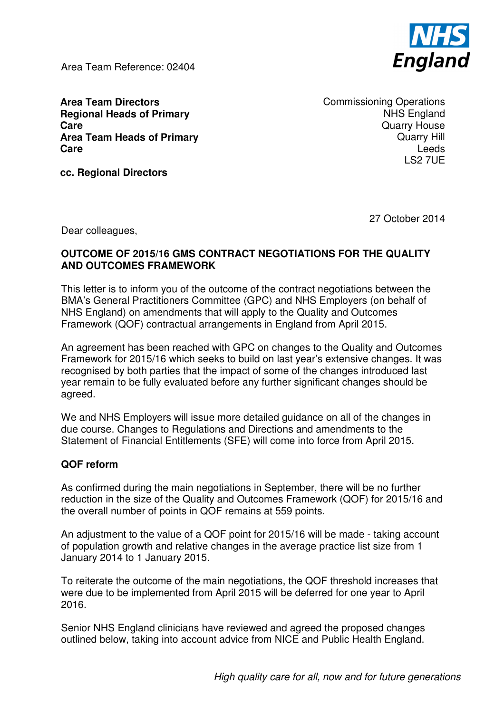Area Team Reference: 02404



**Area Team Directors Regional Heads of Primary Care Area Team Heads of Primary Care** 

Commissioning Operations NHS England Quarry House Quarry Hill Leeds LS2 7UE

**cc. Regional Directors** 

27 October 2014

Dear colleagues,

## **OUTCOME OF 2015/16 GMS CONTRACT NEGOTIATIONS FOR THE QUALITY AND OUTCOMES FRAMEWORK**

This letter is to inform you of the outcome of the contract negotiations between the BMA's General Practitioners Committee (GPC) and NHS Employers (on behalf of NHS England) on amendments that will apply to the Quality and Outcomes Framework (QOF) contractual arrangements in England from April 2015.

An agreement has been reached with GPC on changes to the Quality and Outcomes Framework for 2015/16 which seeks to build on last year's extensive changes. It was recognised by both parties that the impact of some of the changes introduced last year remain to be fully evaluated before any further significant changes should be agreed.

We and NHS Employers will issue more detailed guidance on all of the changes in due course. Changes to Regulations and Directions and amendments to the Statement of Financial Entitlements (SFE) will come into force from April 2015.

## **QOF reform**

As confirmed during the main negotiations in September, there will be no further reduction in the size of the Quality and Outcomes Framework (QOF) for 2015/16 and the overall number of points in QOF remains at 559 points.

An adjustment to the value of a QOF point for 2015/16 will be made - taking account of population growth and relative changes in the average practice list size from 1 January 2014 to 1 January 2015.

To reiterate the outcome of the main negotiations, the QOF threshold increases that were due to be implemented from April 2015 will be deferred for one year to April 2016.

Senior NHS England clinicians have reviewed and agreed the proposed changes outlined below, taking into account advice from NICE and Public Health England.